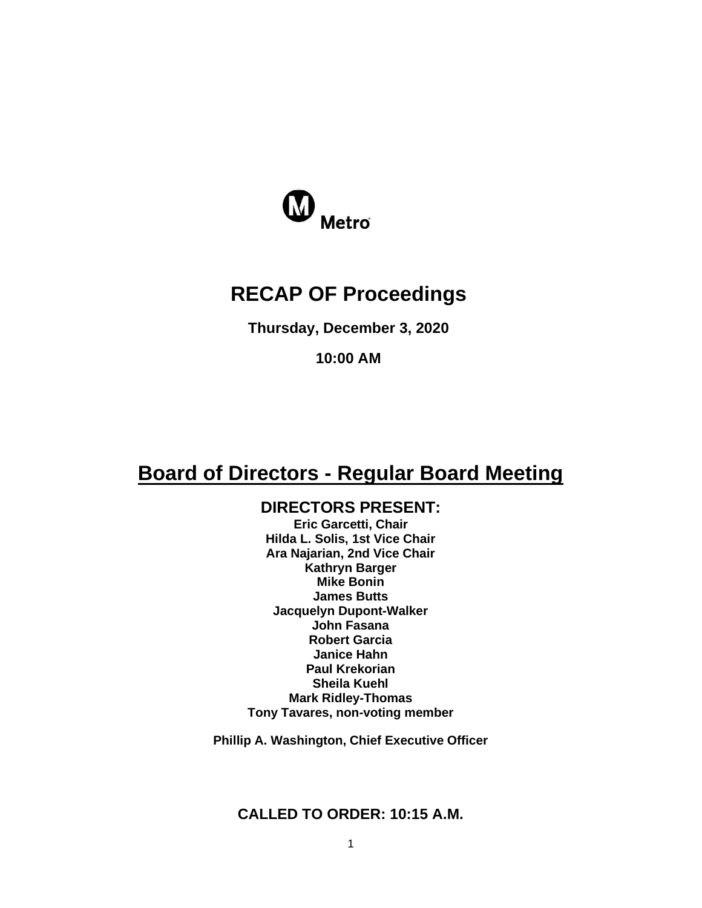

# **RECAP OF Proceedings**

**Thursday, December 3, 2020**

**10:00 AM**

# **Board of Directors - Regular Board Meeting**

# **DIRECTORS PRESENT:**

**Eric Garcetti, Chair Hilda L. Solis, 1st Vice Chair Ara Najarian, 2nd Vice Chair Kathryn Barger Mike Bonin James Butts Jacquelyn Dupont-Walker John Fasana Robert Garcia Janice Hahn Paul Krekorian Sheila Kuehl Mark Ridley-Thomas Tony Tavares, non-voting member**

**Phillip A. Washington, Chief Executive Officer**

## **CALLED TO ORDER: 10:15 A.M.**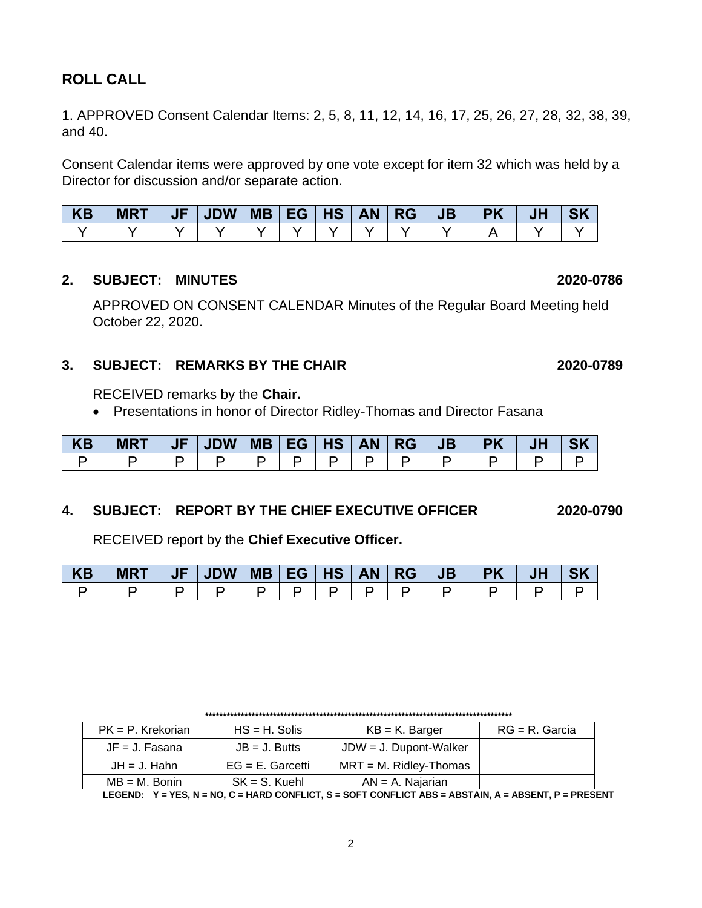# **ROLL CALL**

1. APPROVED Consent Calendar Items: 2, 5, 8, 11, 12, 14, 16, 17, 25, 26, 27, 28, 32, 38, 39, and 40.

Consent Calendar items were approved by one vote except for item 32 which was held by a Director for discussion and/or separate action.

| KB | <b>MRT</b> | $ $ JF $ $ JDW $ $ MB $ $ EG $ $ HS $ $ AN $ $ RG $ $ |  |  | <b>JB</b> | <b>PK</b> | <b>JH</b> |  |
|----|------------|-------------------------------------------------------|--|--|-----------|-----------|-----------|--|
|    |            |                                                       |  |  |           |           |           |  |

#### **2. SUBJECT: MINUTES 2020-0786**

APPROVED ON CONSENT CALENDAR Minutes of the Regular Board Meeting held October 22, 2020.

#### **3. SUBJECT: REMARKS BY THE CHAIR 2020-0789**

RECEIVED remarks by the **Chair.**

• Presentations in honor of Director Ridley-Thomas and Director Fasana

| KB | $MRT$   JF   JDW   MB   EG   HS   AN   RG   JB   PK   JH |  |  |       |  |  |  |
|----|----------------------------------------------------------|--|--|-------|--|--|--|
|    |                                                          |  |  | D I D |  |  |  |

### **4. SUBJECT: REPORT BY THE CHIEF EXECUTIVE OFFICER 2020-0790**

RECEIVED report by the **Chief Executive Officer.** 

| KB | <b>MRT</b> | JF   JDW   MB   EG   HS   AN   RG |  |  | JB   PK |  |  |
|----|------------|-----------------------------------|--|--|---------|--|--|
|    |            |                                   |  |  |         |  |  |

| $PK = P$ . Krekorian | $HS = H$ . Solis    | $KB = K$ . Barger         | $RG = R$ . Garcia |
|----------------------|---------------------|---------------------------|-------------------|
| $JF = J. Fasana$     | $JB = J.$ Butts     | $JDW = J$ . Dupont-Walker |                   |
| $JH = J$ . Hahn      | $EG = E$ . Garcetti | $MRT = M$ . Ridley-Thomas |                   |
| $MB = M$ . Bonin     | $SK = S$ . Kuehl    | $AN = A$ . Najarian       |                   |

**LEGEND: Y = YES, N = NO, C = HARD CONFLICT, S = SOFT CONFLICT ABS = ABSTAIN, A = ABSENT, P = PRESENT**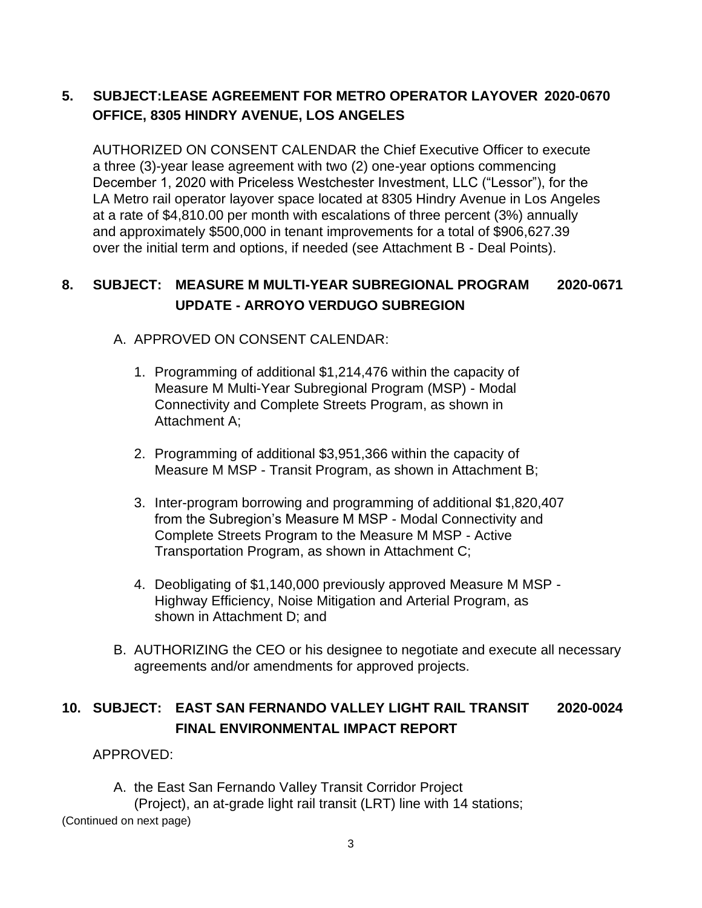# **5. SUBJECT:LEASE AGREEMENT FOR METRO OPERATOR LAYOVER 2020-0670 OFFICE, 8305 HINDRY AVENUE, LOS ANGELES**

AUTHORIZED ON CONSENT CALENDAR the Chief Executive Officer to execute a three (3)-year lease agreement with two (2) one-year options commencing December 1, 2020 with Priceless Westchester Investment, LLC ("Lessor"), for the LA Metro rail operator layover space located at 8305 Hindry Avenue in Los Angeles at a rate of \$4,810.00 per month with escalations of three percent (3%) annually and approximately \$500,000 in tenant improvements for a total of \$906,627.39 over the initial term and options, if needed (see Attachment B - Deal Points).

# **8. SUBJECT: MEASURE M MULTI-YEAR SUBREGIONAL PROGRAM 2020-0671 UPDATE - ARROYO VERDUGO SUBREGION**

### A. APPROVED ON CONSENT CALENDAR:

- 1. Programming of additional \$1,214,476 within the capacity of Measure M Multi-Year Subregional Program (MSP) - Modal Connectivity and Complete Streets Program, as shown in Attachment A;
- 2. Programming of additional \$3,951,366 within the capacity of Measure M MSP - Transit Program, as shown in Attachment B;
- 3. Inter-program borrowing and programming of additional \$1,820,407 from the Subregion's Measure M MSP - Modal Connectivity and Complete Streets Program to the Measure M MSP - Active Transportation Program, as shown in Attachment C;
- 4. Deobligating of \$1,140,000 previously approved Measure M MSP Highway Efficiency, Noise Mitigation and Arterial Program, as shown in Attachment D; and
- B. AUTHORIZING the CEO or his designee to negotiate and execute all necessary agreements and/or amendments for approved projects.

# **10. SUBJECT: EAST SAN FERNANDO VALLEY LIGHT RAIL TRANSIT 2020-0024 FINAL ENVIRONMENTAL IMPACT REPORT**

#### APPROVED:

A. the East San Fernando Valley Transit Corridor Project

(Project), an at-grade light rail transit (LRT) line with 14 stations; (Continued on next page)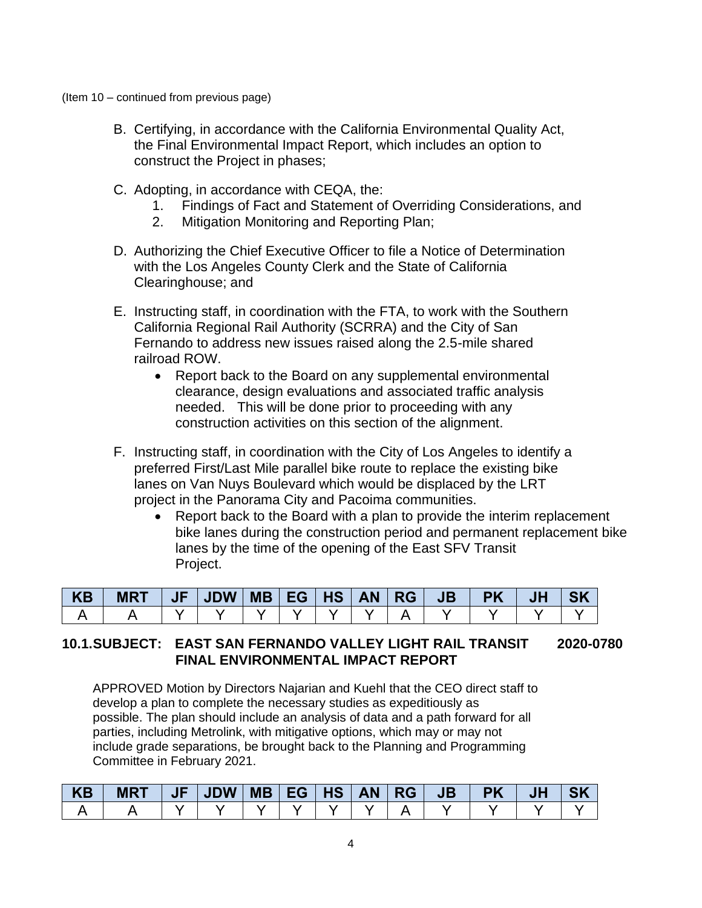(Item 10 – continued from previous page)

- B. Certifying, in accordance with the California Environmental Quality Act, the Final Environmental Impact Report, which includes an option to construct the Project in phases;
- C. Adopting, in accordance with CEQA, the:
	- 1. Findings of Fact and Statement of Overriding Considerations, and
	- 2. Mitigation Monitoring and Reporting Plan;
- D. Authorizing the Chief Executive Officer to file a Notice of Determination with the Los Angeles County Clerk and the State of California Clearinghouse; and
- E. Instructing staff, in coordination with the FTA, to work with the Southern California Regional Rail Authority (SCRRA) and the City of San Fernando to address new issues raised along the 2.5-mile shared railroad ROW.
	- Report back to the Board on any supplemental environmental clearance, design evaluations and associated traffic analysis needed. This will be done prior to proceeding with any construction activities on this section of the alignment.
- F. Instructing staff, in coordination with the City of Los Angeles to identify a preferred First/Last Mile parallel bike route to replace the existing bike lanes on Van Nuys Boulevard which would be displaced by the LRT project in the Panorama City and Pacoima communities.
	- Report back to the Board with a plan to provide the interim replacement bike lanes during the construction period and permanent replacement bike lanes by the time of the opening of the East SFV Transit Project.

| <b>KB</b> | <b>MRT</b> | $\sqrt{F}$ | <b>JDW</b> | $\vert$ MB $\vert$ EG $\vert$ | <b>HS</b> | <b>AN</b> | <b>RG</b> | J <sub>B</sub> | <b>PK</b> | JI | <b>SK</b> |
|-----------|------------|------------|------------|-------------------------------|-----------|-----------|-----------|----------------|-----------|----|-----------|
|           |            |            |            |                               |           |           |           |                |           |    |           |

#### **10.1.SUBJECT: EAST SAN FERNANDO VALLEY LIGHT RAIL TRANSIT 2020-0780 FINAL ENVIRONMENTAL IMPACT REPORT**

APPROVED Motion by Directors Najarian and Kuehl that the CEO direct staff to develop a plan to complete the necessary studies as expeditiously as possible. The plan should include an analysis of data and a path forward for all parties, including Metrolink, with mitigative options, which may or may not include grade separations, be brought back to the Planning and Programming Committee in February 2021.

| <b>KB</b> | <b>MRT</b> | JF | JDW   MB   EG   HS   AN   RG |  |  | $\triangle$ JB | <b>PK</b> |  |
|-----------|------------|----|------------------------------|--|--|----------------|-----------|--|
|           |            |    |                              |  |  |                |           |  |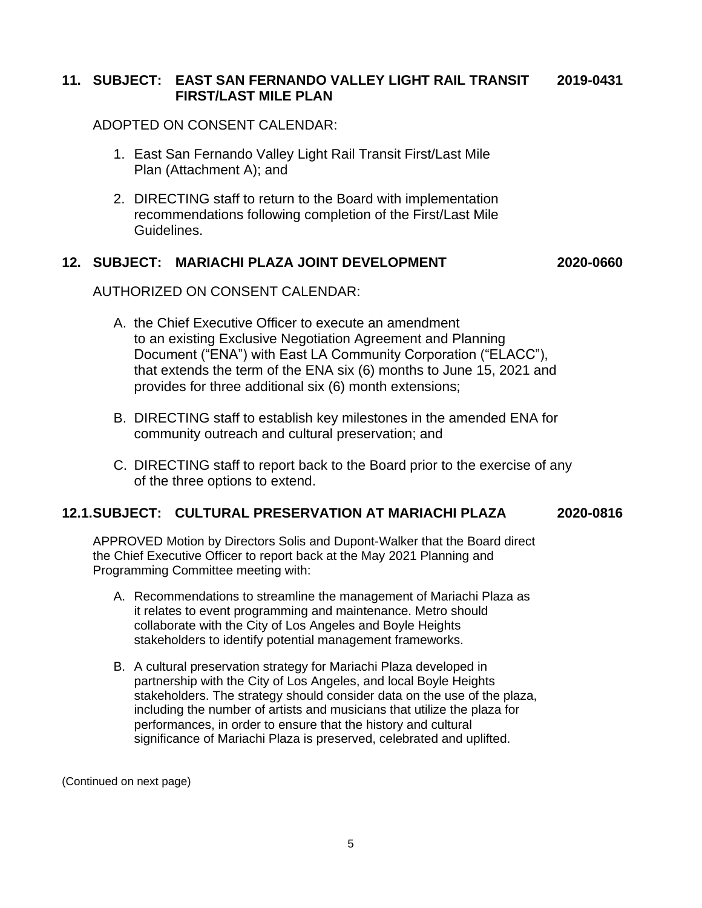#### **11. SUBJECT: EAST SAN FERNANDO VALLEY LIGHT RAIL TRANSIT 2019-0431 FIRST/LAST MILE PLAN**

ADOPTED ON CONSENT CALENDAR:

- 1. East San Fernando Valley Light Rail Transit First/Last Mile Plan (Attachment A); and
- 2. DIRECTING staff to return to the Board with implementation recommendations following completion of the First/Last Mile Guidelines.

#### **12. SUBJECT: MARIACHI PLAZA JOINT DEVELOPMENT 2020-0660**

AUTHORIZED ON CONSENT CALENDAR:

- A. the Chief Executive Officer to execute an amendment to an existing Exclusive Negotiation Agreement and Planning Document ("ENA") with East LA Community Corporation ("ELACC"), that extends the term of the ENA six (6) months to June 15, 2021 and provides for three additional six (6) month extensions;
- B. DIRECTING staff to establish key milestones in the amended ENA for community outreach and cultural preservation; and
- C. DIRECTING staff to report back to the Board prior to the exercise of any of the three options to extend.

#### **12.1.SUBJECT: CULTURAL PRESERVATION AT MARIACHI PLAZA 2020-0816**

APPROVED Motion by Directors Solis and Dupont-Walker that the Board direct the Chief Executive Officer to report back at the May 2021 Planning and Programming Committee meeting with:

- A. Recommendations to streamline the management of Mariachi Plaza as it relates to event programming and maintenance. Metro should collaborate with the City of Los Angeles and Boyle Heights stakeholders to identify potential management frameworks.
- B. A cultural preservation strategy for Mariachi Plaza developed in partnership with the City of Los Angeles, and local Boyle Heights stakeholders. The strategy should consider data on the use of the plaza, including the number of artists and musicians that utilize the plaza for performances, in order to ensure that the history and cultural significance of Mariachi Plaza is preserved, celebrated and uplifted.

(Continued on next page)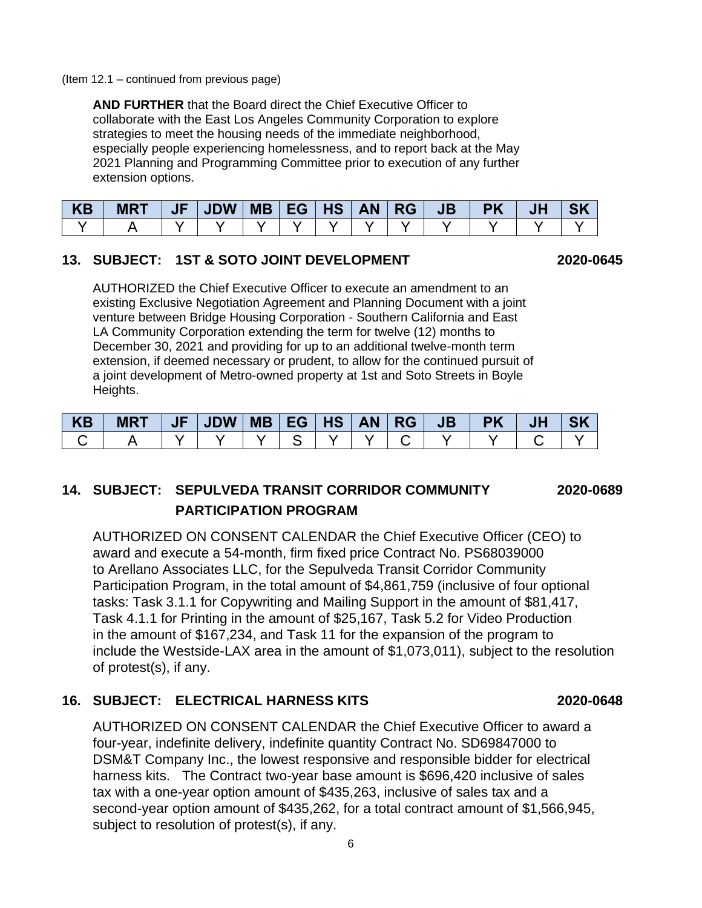#### (Item 12.1 – continued from previous page)

**AND FURTHER** that the Board direct the Chief Executive Officer to collaborate with the East Los Angeles Community Corporation to explore strategies to meet the housing needs of the immediate neighborhood, especially people experiencing homelessness, and to report back at the May 2021 Planning and Programming Committee prior to execution of any further extension options.

| KB | $MRT$   JF   JDW   MB   EG   HS   AN   RG |  |  |  | JB | <b>PK</b> | JHZ | <b>SK</b> |
|----|-------------------------------------------|--|--|--|----|-----------|-----|-----------|
|    |                                           |  |  |  |    |           |     |           |

#### **13. SUBJECT: 1ST & SOTO JOINT DEVELOPMENT 2020-0645**

AUTHORIZED the Chief Executive Officer to execute an amendment to an existing Exclusive Negotiation Agreement and Planning Document with a joint venture between Bridge Housing Corporation - Southern California and East LA Community Corporation extending the term for twelve (12) months to December 30, 2021 and providing for up to an additional twelve-month term extension, if deemed necessary or prudent, to allow for the continued pursuit of a joint development of Metro-owned property at 1st and Soto Streets in Boyle Heights.

| KB | <b>MRT</b> | JE | JDW | MB   EG   HS | <b>AN</b> | $\overline{\mathsf{R}}$ RG | JB | <b>PK</b> | JH |  |
|----|------------|----|-----|--------------|-----------|----------------------------|----|-----------|----|--|
|    |            |    |     |              |           |                            |    |           |    |  |

# **14. SUBJECT: SEPULVEDA TRANSIT CORRIDOR COMMUNITY 2020-0689 PARTICIPATION PROGRAM**

AUTHORIZED ON CONSENT CALENDAR the Chief Executive Officer (CEO) to award and execute a 54-month, firm fixed price Contract No. PS68039000 to Arellano Associates LLC, for the Sepulveda Transit Corridor Community Participation Program, in the total amount of \$4,861,759 (inclusive of four optional tasks: Task 3.1.1 for Copywriting and Mailing Support in the amount of \$81,417, Task 4.1.1 for Printing in the amount of \$25,167, Task 5.2 for Video Production in the amount of \$167,234, and Task 11 for the expansion of the program to include the Westside-LAX area in the amount of \$1,073,011), subject to the resolution of protest(s), if any.

#### **16. SUBJECT: ELECTRICAL HARNESS KITS 2020-0648**

AUTHORIZED ON CONSENT CALENDAR the Chief Executive Officer to award a four-year, indefinite delivery, indefinite quantity Contract No. SD69847000 to DSM&T Company Inc., the lowest responsive and responsible bidder for electrical harness kits. The Contract two-year base amount is \$696,420 inclusive of sales tax with a one-year option amount of \$435,263, inclusive of sales tax and a second-year option amount of \$435,262, for a total contract amount of \$1,566,945, subject to resolution of protest(s), if any.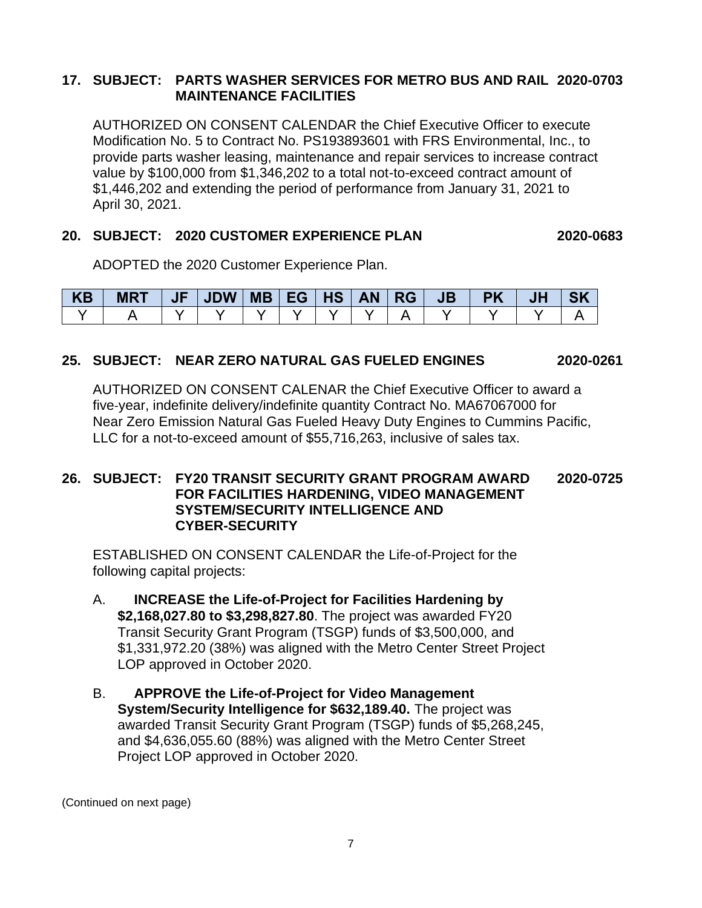#### **17. SUBJECT: PARTS WASHER SERVICES FOR METRO BUS AND RAIL 2020-0703 MAINTENANCE FACILITIES**

AUTHORIZED ON CONSENT CALENDAR the Chief Executive Officer to execute Modification No. 5 to Contract No. PS193893601 with FRS Environmental, Inc., to provide parts washer leasing, maintenance and repair services to increase contract value by \$100,000 from \$1,346,202 to a total not-to-exceed contract amount of \$1,446,202 and extending the period of performance from January 31, 2021 to April 30, 2021.

#### **20. SUBJECT: 2020 CUSTOMER EXPERIENCE PLAN 2020-0683**

ADOPTED the 2020 Customer Experience Plan.

| KB | <b>MRT</b> | JF | <b>JDW</b> | MB   EG   HS | <b>AN</b> | ∣ RG∶ | <b>JB</b> | <b>PK</b> | JF | <b>SK</b> |
|----|------------|----|------------|--------------|-----------|-------|-----------|-----------|----|-----------|
|    |            |    |            |              |           |       |           |           |    |           |

### **25. SUBJECT: NEAR ZERO NATURAL GAS FUELED ENGINES 2020-0261**

AUTHORIZED ON CONSENT CALENAR the Chief Executive Officer to award a five-year, indefinite delivery/indefinite quantity Contract No. MA67067000 for Near Zero Emission Natural Gas Fueled Heavy Duty Engines to Cummins Pacific, LLC for a not-to-exceed amount of \$55,716,263, inclusive of sales tax.

#### **26. SUBJECT: FY20 TRANSIT SECURITY GRANT PROGRAM AWARD 2020-0725 FOR FACILITIES HARDENING, VIDEO MANAGEMENT SYSTEM/SECURITY INTELLIGENCE AND CYBER-SECURITY**

ESTABLISHED ON CONSENT CALENDAR the Life-of-Project for the following capital projects:

- A. **INCREASE the Life-of-Project for Facilities Hardening by \$2,168,027.80 to \$3,298,827.80**. The project was awarded FY20 Transit Security Grant Program (TSGP) funds of \$3,500,000, and \$1,331,972.20 (38%) was aligned with the Metro Center Street Project LOP approved in October 2020.
- B. **APPROVE the Life-of-Project for Video Management System/Security Intelligence for \$632,189.40.** The project was awarded Transit Security Grant Program (TSGP) funds of \$5,268,245, and \$4,636,055.60 (88%) was aligned with the Metro Center Street Project LOP approved in October 2020.

(Continued on next page)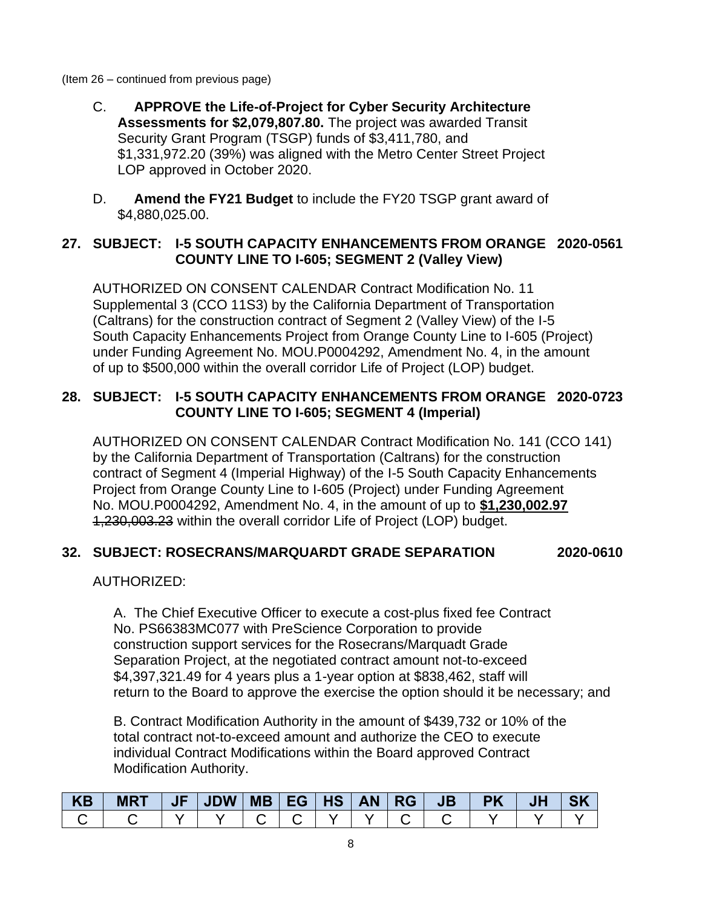- (Item 26 continued from previous page)
	- C. **APPROVE the Life-of-Project for Cyber Security Architecture Assessments for \$2,079,807.80.** The project was awarded Transit Security Grant Program (TSGP) funds of \$3,411,780, and \$1,331,972.20 (39%) was aligned with the Metro Center Street Project LOP approved in October 2020.
	- D. **Amend the FY21 Budget** to include the FY20 TSGP grant award of \$4,880,025.00.

#### **27. SUBJECT: I-5 SOUTH CAPACITY ENHANCEMENTS FROM ORANGE 2020-0561 COUNTY LINE TO I-605; SEGMENT 2 (Valley View)**

AUTHORIZED ON CONSENT CALENDAR Contract Modification No. 11 Supplemental 3 (CCO 11S3) by the California Department of Transportation (Caltrans) for the construction contract of Segment 2 (Valley View) of the I-5 South Capacity Enhancements Project from Orange County Line to I-605 (Project) under Funding Agreement No. MOU.P0004292, Amendment No. 4, in the amount of up to \$500,000 within the overall corridor Life of Project (LOP) budget.

#### **28. SUBJECT: I-5 SOUTH CAPACITY ENHANCEMENTS FROM ORANGE 2020-0723 COUNTY LINE TO I-605; SEGMENT 4 (Imperial)**

AUTHORIZED ON CONSENT CALENDAR Contract Modification No. 141 (CCO 141) by the California Department of Transportation (Caltrans) for the construction contract of Segment 4 (Imperial Highway) of the I-5 South Capacity Enhancements Project from Orange County Line to I-605 (Project) under Funding Agreement No. MOU.P0004292, Amendment No. 4, in the amount of up to **\$1,230,002.97** 1,230,003.23 within the overall corridor Life of Project (LOP) budget.

### **32. SUBJECT: ROSECRANS/MARQUARDT GRADE SEPARATION 2020-0610**

AUTHORIZED:

A. The Chief Executive Officer to execute a cost-plus fixed fee Contract No. PS66383MC077 with PreScience Corporation to provide construction support services for the Rosecrans/Marquadt Grade Separation Project, at the negotiated contract amount not-to-exceed \$4,397,321.49 for 4 years plus a 1-year option at \$838,462, staff will return to the Board to approve the exercise the option should it be necessary; and

B. Contract Modification Authority in the amount of \$439,732 or 10% of the total contract not-to-exceed amount and authorize the CEO to execute individual Contract Modifications within the Board approved Contract Modification Authority.

| KB | <b>MRT</b> | JF   JDW   MB   EG   HS   AN   RG |  |  | $\triangle$ JB | <b>PK</b> |  |
|----|------------|-----------------------------------|--|--|----------------|-----------|--|
|    |            |                                   |  |  |                |           |  |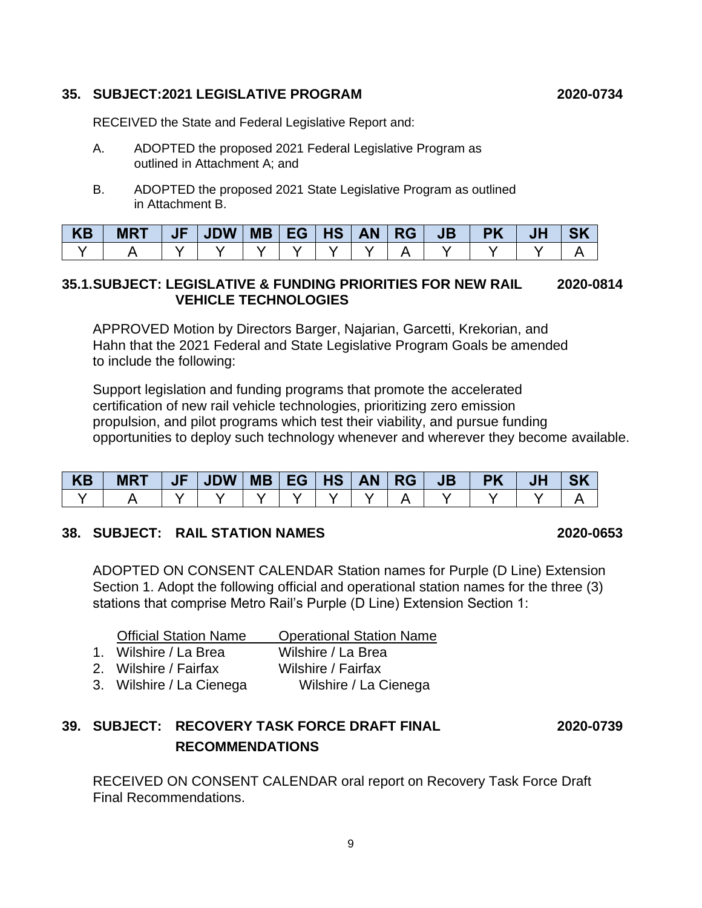#### **35. SUBJECT:2021 LEGISLATIVE PROGRAM 2020-0734**

RECEIVED the State and Federal Legislative Report and:

- A. ADOPTED the proposed 2021 Federal Legislative Program as outlined in Attachment A; and
- B. ADOPTED the proposed 2021 State Legislative Program as outlined in Attachment B.

| <b>KB</b> | <b>MRT</b> | $ $ JF $ $ JDW $ $ MB $ $ EG $ $ HS $ $ AN $ $ RG $ $ |  |  | <b>JB</b> | <b>PK</b> | <b>JH</b> |  |
|-----------|------------|-------------------------------------------------------|--|--|-----------|-----------|-----------|--|
|           |            |                                                       |  |  |           |           |           |  |

#### **35.1.SUBJECT: LEGISLATIVE & FUNDING PRIORITIES FOR NEW RAIL 2020-0814 VEHICLE TECHNOLOGIES**

APPROVED Motion by Directors Barger, Najarian, Garcetti, Krekorian, and Hahn that the 2021 Federal and State Legislative Program Goals be amended to include the following:

Support legislation and funding programs that promote the accelerated certification of new rail vehicle technologies, prioritizing zero emission propulsion, and pilot programs which test their viability, and pursue funding opportunities to deploy such technology whenever and wherever they become available.

| <b>KB</b> | <b>MRT</b> | $\sqrt{E}$ | <b>JDW</b> | <b>MB</b> | EG | <b>HS</b> | <b>AN</b> | $\mid$ RG | <b>JB</b> | <b>PK</b> | JH |  |
|-----------|------------|------------|------------|-----------|----|-----------|-----------|-----------|-----------|-----------|----|--|
|           |            |            |            |           |    |           |           |           |           |           |    |  |

#### **38. SUBJECT: RAIL STATION NAMES 2020-0653**

ADOPTED ON CONSENT CALENDAR Station names for Purple (D Line) Extension Section 1. Adopt the following official and operational station names for the three (3) stations that comprise Metro Rail's Purple (D Line) Extension Section 1:

| <b>Official Station Name</b> | <b>Operational Station Name</b> |
|------------------------------|---------------------------------|
| 1. Wilshire / La Brea        | Wilshire / La Brea              |
| 2. Wilshire / Fairfax        | Wilshire / Fairfax              |
| 3. Wilshire / La Cienega     | Wilshire / La Cienega           |

# **39. SUBJECT: RECOVERY TASK FORCE DRAFT FINAL 2020-0739 RECOMMENDATIONS**

RECEIVED ON CONSENT CALENDAR oral report on Recovery Task Force Draft Final Recommendations.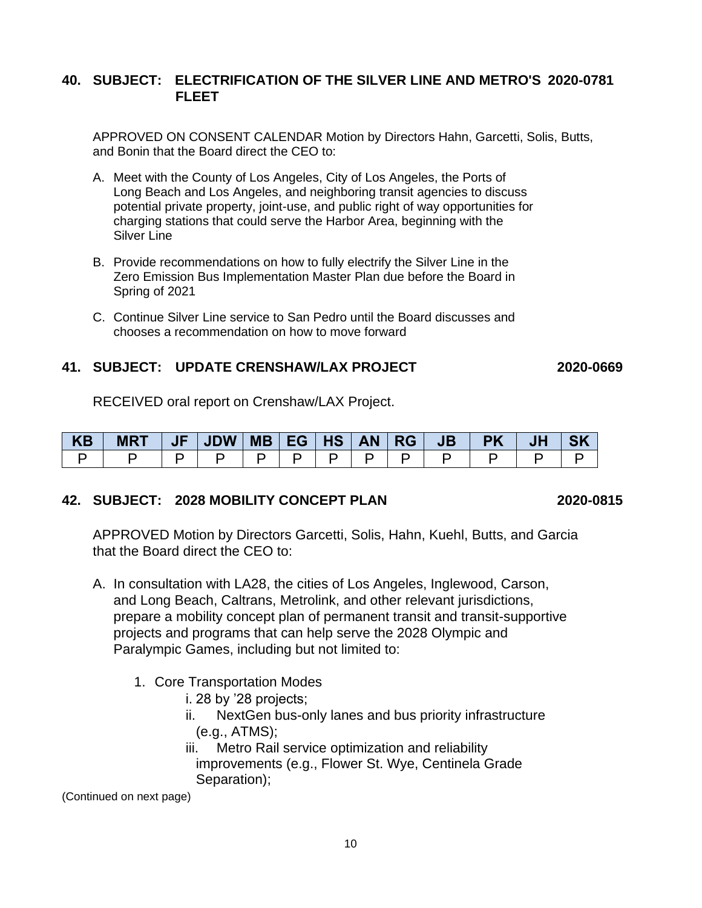#### **40. SUBJECT: ELECTRIFICATION OF THE SILVER LINE AND METRO'S 2020-0781 FLEET**

APPROVED ON CONSENT CALENDAR Motion by Directors Hahn, Garcetti, Solis, Butts, and Bonin that the Board direct the CEO to:

- A. Meet with the County of Los Angeles, City of Los Angeles, the Ports of Long Beach and Los Angeles, and neighboring transit agencies to discuss potential private property, joint-use, and public right of way opportunities for charging stations that could serve the Harbor Area, beginning with the Silver Line
- B. Provide recommendations on how to fully electrify the Silver Line in the Zero Emission Bus Implementation Master Plan due before the Board in Spring of 2021
- C. Continue Silver Line service to San Pedro until the Board discusses and chooses a recommendation on how to move forward

#### **41. SUBJECT: UPDATE CRENSHAW/LAX PROJECT 2020-0669**

RECEIVED oral report on Crenshaw/LAX Project.

| KB | <b>MRT</b> | $ $ JF $ $ JDW $ $ MB $ $ EG $ $ HS $ $ AN $ $ RG $ $ |  |  | JB I | <b>PK</b> | JH |  |
|----|------------|-------------------------------------------------------|--|--|------|-----------|----|--|
|    |            |                                                       |  |  |      |           |    |  |

#### **42. SUBJECT: 2028 MOBILITY CONCEPT PLAN 2020-0815**

APPROVED Motion by Directors Garcetti, Solis, Hahn, Kuehl, Butts, and Garcia that the Board direct the CEO to:

- A. In consultation with LA28, the cities of Los Angeles, Inglewood, Carson, and Long Beach, Caltrans, Metrolink, and other relevant jurisdictions, prepare a mobility concept plan of permanent transit and transit-supportive projects and programs that can help serve the 2028 Olympic and Paralympic Games, including but not limited to:
	- 1. Core Transportation Modes
		- i. 28 by '28 projects;
		- ii. NextGen bus-only lanes and bus priority infrastructure (e.g., ATMS);
		- iii. Metro Rail service optimization and reliability improvements (e.g., Flower St. Wye, Centinela Grade Separation);

(Continued on next page)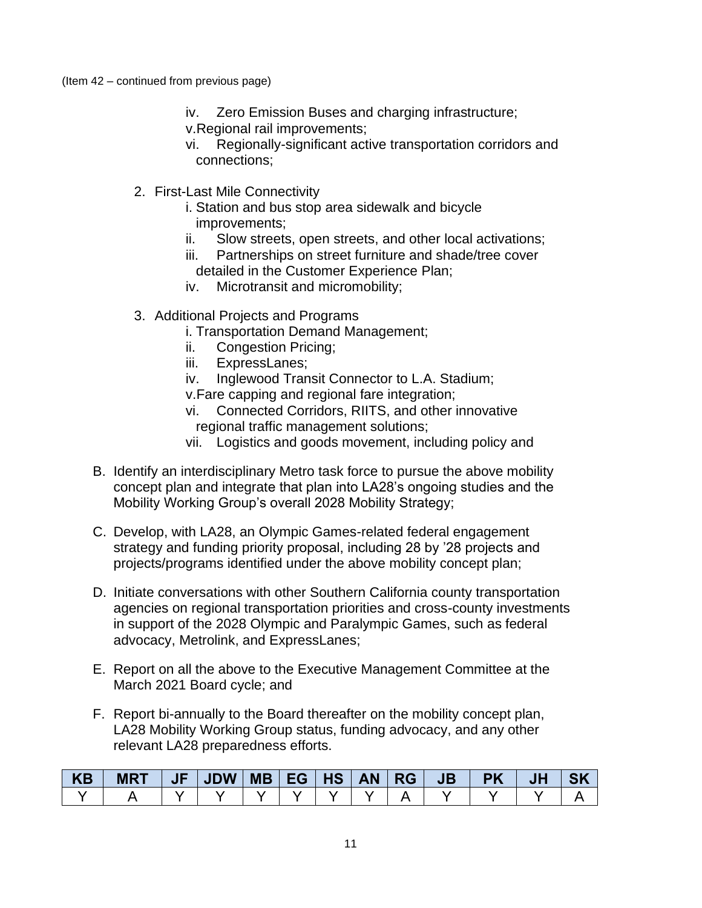- iv. Zero Emission Buses and charging infrastructure;
- v.Regional rail improvements;
	- vi. Regionally-significant active transportation corridors and connections;
- 2. First-Last Mile Connectivity
	- i. Station and bus stop area sidewalk and bicycle improvements;
	- ii. Slow streets, open streets, and other local activations;
	- iii. Partnerships on street furniture and shade/tree cover detailed in the Customer Experience Plan;
	- iv. Microtransit and micromobility;
- 3. Additional Projects and Programs
	- i. Transportation Demand Management;
	- ii. Congestion Pricing;
	- iii. ExpressLanes;
	- iv. Inglewood Transit Connector to L.A. Stadium;
	- v.Fare capping and regional fare integration;
	- vi. Connected Corridors, RIITS, and other innovative regional traffic management solutions;
	- vii. Logistics and goods movement, including policy and
- B. Identify an interdisciplinary Metro task force to pursue the above mobility concept plan and integrate that plan into LA28's ongoing studies and the Mobility Working Group's overall 2028 Mobility Strategy;
- C. Develop, with LA28, an Olympic Games-related federal engagement strategy and funding priority proposal, including 28 by '28 projects and projects/programs identified under the above mobility concept plan;
- D. Initiate conversations with other Southern California county transportation agencies on regional transportation priorities and cross-county investments in support of the 2028 Olympic and Paralympic Games, such as federal advocacy, Metrolink, and ExpressLanes;
- E. Report on all the above to the Executive Management Committee at the March 2021 Board cycle; and
- F. Report bi-annually to the Board thereafter on the mobility concept plan, LA28 Mobility Working Group status, funding advocacy, and any other relevant LA28 preparedness efforts.

| <b>KB</b> | <b>MRT</b> | <b>JDW</b> | <b>MB</b> | EG | <b>HS</b> | <b>AN</b> | <b>RG</b> | <b>JB</b> | NU L | <b>NIZ</b> |
|-----------|------------|------------|-----------|----|-----------|-----------|-----------|-----------|------|------------|
|           |            |            |           |    |           |           |           |           |      |            |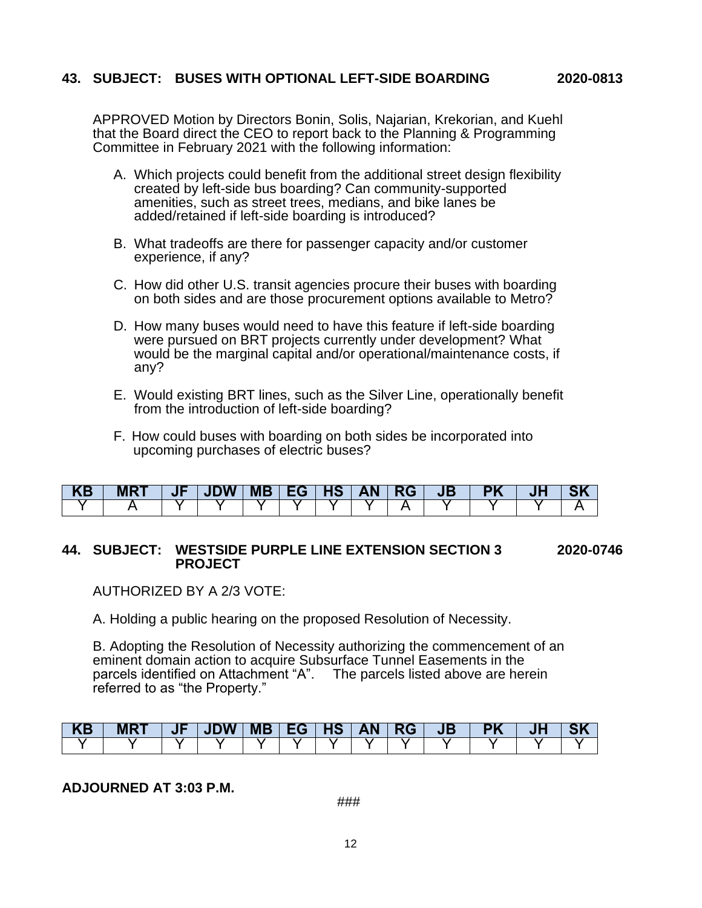#### **43. SUBJECT: BUSES WITH OPTIONAL LEFT-SIDE BOARDING 2020-0813**

APPROVED Motion by Directors Bonin, Solis, Najarian, Krekorian, and Kuehl that the Board direct the CEO to report back to the Planning & Programming Committee in February 2021 with the following information:

- A. Which projects could benefit from the additional street design flexibility created by left-side bus boarding? Can community-supported amenities, such as street trees, medians, and bike lanes be added/retained if left-side boarding is introduced?
- B. What tradeoffs are there for passenger capacity and/or customer experience, if any?
- C. How did other U.S. transit agencies procure their buses with boarding on both sides and are those procurement options available to Metro?
- D. How many buses would need to have this feature if left-side boarding were pursued on BRT projects currently under development? What would be the marginal capital and/or operational/maintenance costs, if any?
- E. Would existing BRT lines, such as the Silver Line, operationally benefit from the introduction of left-side boarding?
- F. How could buses with boarding on both sides be incorporated into upcoming purchases of electric buses?

| $\overline{\phantom{a}}$ | IVI F | ш | . | r | . .<br>$\mathcal{L}^{\text{max}}_{\text{max}}$ and $\mathcal{L}^{\text{max}}_{\text{max}}$ and $\mathcal{L}^{\text{max}}_{\text{max}}$ | . . |  |  |
|--------------------------|-------|---|---|---|----------------------------------------------------------------------------------------------------------------------------------------|-----|--|--|
|                          |       |   |   |   |                                                                                                                                        |     |  |  |

#### **44. SUBJECT: WESTSIDE PURPLE LINE EXTENSION SECTION 3 2020-0746 PROJECT**

AUTHORIZED BY A 2/3 VOTE:

A. Holding a public hearing on the proposed Resolution of Necessity.

B. Adopting the Resolution of Necessity authorizing the commencement of an eminent domain action to acquire Subsurface Tunnel Easements in the parcels identified on Attachment "A". The parcels listed above are herein referred to as "the Property."

| . A.P | IYILD. | $\mathbf{u}$ |  | К | . . | . . |  |  |
|-------|--------|--------------|--|---|-----|-----|--|--|
|       |        |              |  |   |     |     |  |  |

#### **ADJOURNED AT 3:03 P.M.**

###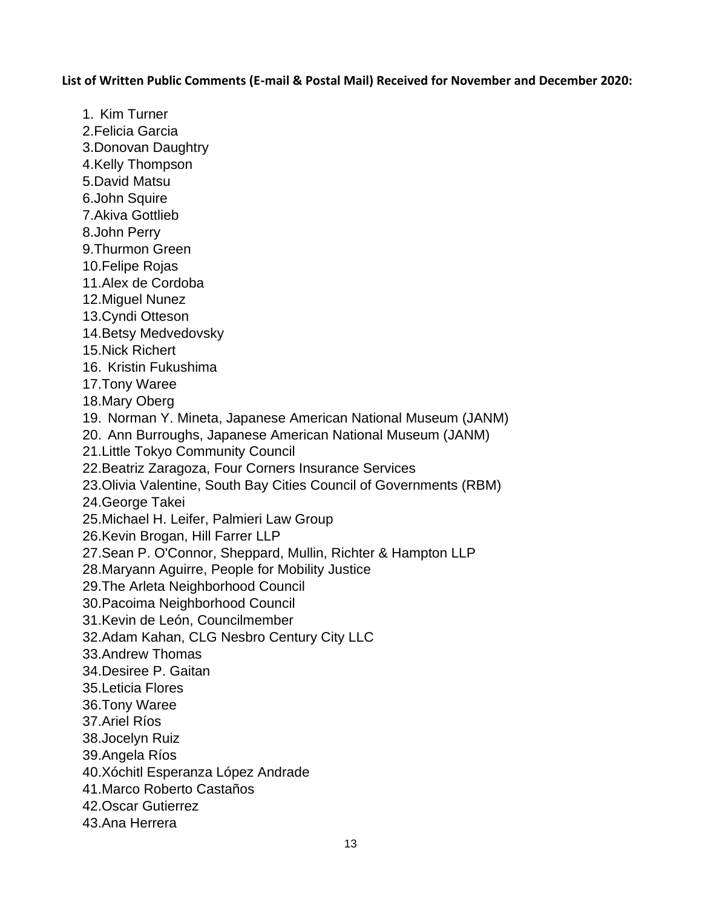**List of Written Public Comments (E-mail & Postal Mail) Received for November and December 2020:**

1. Kim Turner 2.Felicia Garcia 3.Donovan Daughtry 4.Kelly Thompson 5.David Matsu 6.John Squire 7.Akiva Gottlieb 8.John Perry 9.Thurmon Green 10.Felipe Rojas 11.Alex de Cordoba 12.Miguel Nunez 13.Cyndi Otteson 14.Betsy Medvedovsky 15.Nick Richert 16. Kristin Fukushima 17.Tony Waree 18.Mary Oberg 19. Norman Y. Mineta, Japanese American National Museum (JANM) 20. Ann Burroughs, Japanese American National Museum (JANM) 21.Little Tokyo Community Council 22.Beatriz Zaragoza, Four Corners Insurance Services 23.Olivia Valentine, South Bay Cities Council of Governments (RBM) 24.George Takei 25.Michael H. Leifer, Palmieri Law Group 26.Kevin Brogan, Hill Farrer LLP 27.Sean P. O'Connor, Sheppard, Mullin, Richter & Hampton LLP 28.Maryann Aguirre, People for Mobility Justice 29.The Arleta Neighborhood Council 30.Pacoima Neighborhood Council 31.Kevin de León, Councilmember 32.Adam Kahan, CLG Nesbro Century City LLC 33.Andrew Thomas 34.Desiree P. Gaitan 35.Leticia Flores 36.Tony Waree 37.Ariel Ríos 38.Jocelyn Ruiz 39.Angela Ríos 40.Xóchitl Esperanza López Andrade 41.Marco Roberto Castaños 42.Oscar Gutierrez 43.Ana Herrera